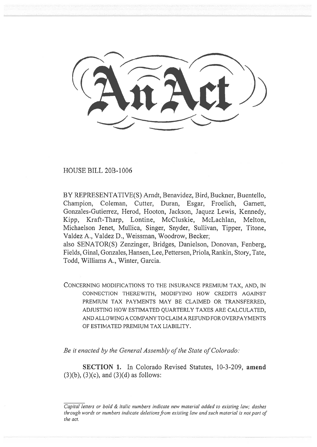HOUSE BILL 20B-1006

BY REPRESENTATIVE(S) Arndt, Benavidez, Bird, Buckner, Buentello, Champion, Coleman, Cutter, Duran, Esgar, Froelich, Garnett, Gonzales-Gutierrez, Herod, Hooton, Jackson, Jaquez Lewis, Kennedy, Kipp, Kraft-Tharp, Lontine, McCluskie, McLachlan, Melton, Michaelson Jenet, Mullica, Singer, Snyder, Sullivan, Tipper, Titone, Valdez A., Valdez D., Weissman, Woodrow, Becker;

also SENATOR(S) Zenzinger, Bridges, Danielson, Donovan, Fenberg, Fields, Ginal, Gonzales, Hansen, Lee, Pettersen, Priola, Rankin, Story, Tate, Todd, Williams A., Winter, Garcia.

CONCERNING MODIFICATIONS TO THE INSURANCE PREMIUM TAX, AND, IN CONNECTION THEREWITH, MODIFYING HOW CREDITS AGAINST PREMIUM TAX PAYMENTS MAY BE CLAIMED OR TRANSFERRED, ADJUSTING HOW ESTIMATED QUARTERLY TAXES ARE CALCULATED, AND ALLOWING A COMPANY TO CLAIM A REFUND FOR OVERPAYMENTS OF ESTIMATED PREMIUM TAX LIABILITY.

Be it enacted by the General Assembly of the State of Colorado:

SECTION 1. In Colorado Revised Statutes, 10-3-209, amend  $(3)(b)$ ,  $(3)(c)$ , and  $(3)(d)$  as follows:

Capital letters or bold & italic numbers indicate new material added to existing law; dashes through words or numbers indicate deletions from existing law and such material is not part of the act.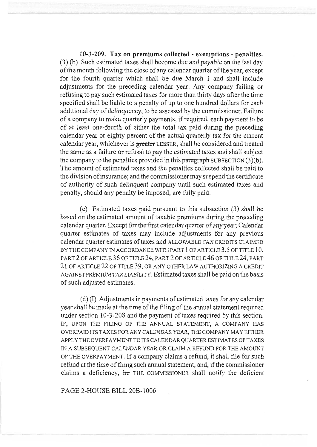10-3-209. Tax on premiums collected - exemptions - penalties. (3) (b) Such estimated taxes shall become due and payable on the last day of the month following the close of any calendar quarter of the year, except for the fourth quarter which shall be due March 1 and shall include adjustments for the preceding calendar year. Any company failing or refusing to pay such estimated taxes for more than thirty days after the time specified shall be liable to a penalty of up to one hundred dollars for each additional day of delinquency, to be assessed by the commissioner. Failure of a company to make quarterly payments, if required, each payment to be of at least one-fourth of either the total tax paid during the preceding calendar year or eighty percent of the actual quarterly tax for the current calendar year, whichever is greater LESSER, shall be considered and treated the same as a failure or refusal to pay the estimated taxes and shall subject the company to the penalties provided in this paragraph SUBSECTION  $(3)(b)$ . The amount of estimated taxes and the penalties collected shall be paid to the division of insurance; and the commissioner may suspend the certificate of authority of such delinquent company until such estimated taxes and penalty, should any penalty be imposed, are fully paid.

(c) Estimated taxes paid pursuant to this subsection (3) shall be based on the estimated amount of taxable premiums during the preceding calendar quarter. Except for the first calendar quarter of any year, Calendar quarter estimates of taxes may include adjustments for any previous calendar quarter estimates of taxes and ALLOWABLE TAX CREDITS CLAIMED BY THE COMPANY IN ACCORDANCE WITH PART 1 OF ARTICLE 3.5 OF TITLE 10, PART 2 OF ARTICLE 36 OF TITLE 24, PART 2 OF ARTICLE 46 OF TITLE 24, PART 21 OF ARTICLE 22 OF TITLE 39, OR ANY OTHER LAW AUTHORIZING A CREDIT AGAINST PREMIUM TAX LIABILITY. Estimated taxes shall be paid on the basis of such adjusted estimates.

(d) (I) Adjustments in payments of estimated taxes for any calendar year shall be made at the time of the filing of the annual statement required under section 10-3-208 and the payment of taxes required by this section. IF, UPON THE FILING OF THE ANNUAL STATEMENT, A COMPANY HAS OVERPAID ITS TAXES FOR ANY CALENDAR YEAR, THE COMPANY MAY EITHER APPLY THE OVERPAYMENT TO ITS CALENDAR QUARTER ESTIMATES OF TAXES IN A SUBSEQUENT CALENDAR YEAR OR CLAIM A REFUND FOR THE AMOUNT OF THE OVERPAYMENT. If a company claims a refund, it shall file for such refund at the time of filing such annual statement, and, if the commissioner claims a deficiency, he THE COMMISSIONER shall notify the deficient

PAGE 2-HOUSE BILL 20B-1006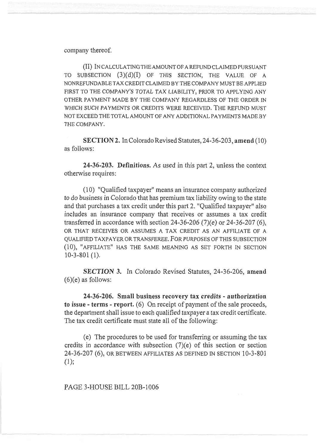company thereof.

(II) IN CALCULATING THE AMOUNT OF A REFUND CLAIMED PURSUANT TO SUBSECTION (3)(d)(I) OF THIS SECTION, THE VALUE OF A NONREFUNDABLE TAX CREDIT CLAIMED BY THE COMPANY MUST BE APPLIED FIRST TO THE COMPANY'S TOTAL TAX LIABILITY, PRIOR TO APPLYING ANY OTHER PAYMENT MADE BY THE COMPANY REGARDLESS OF THE ORDER IN WHICH SUCH PAYMENTS OR CREDITS WERE RECEIVED. THE REFUND MUST NOT EXCEED THE TOTAL AMOUNT OF ANY ADDITIONAL PAYMENTS MADE BY THE COMPANY.

SECTION 2. In Colorado Revised Statutes, 24-36-203, amend (10) as follows:

24-36-203. Definitions. As used in this part 2, unless the context otherwise requires:

(10) "Qualified taxpayer" means an insurance company authorized to do business in Colorado that has premium tax liability owing to the state and that purchases a tax credit under this part 2. "Qualified taxpayer" also includes an insurance company that receives or assumes a tax credit transferred in accordance with section 24-36-206  $(7)(e)$  or 24-36-207  $(6)$ , OR THAT RECEIVES OR ASSUMES A TAX CREDIT AS AN AFFILIATE OF A QUALIFIED TAXPAYER OR TRANSFEREE. FOR PURPOSES OF THIS SUBSECTION (10), "AFFILIATE" HAS THE SAME MEANING AS SET FORTH IN SECTION 10-3-801 (1).

SECTION 3. In Colorado Revised Statutes, 24-36-206, amend  $(6)(e)$  as follows:

24-36-206. Small business recovery tax credits - authorization to issue - terms - report. (6) On receipt of payment of the sale proceeds, the department shall issue to each qualified taxpayer a tax credit certificate. The tax credit certificate must state all of the following:

(e) The procedures to be used for transferring or assuming the tax credits in accordance with subsection  $(7)(e)$  of this section or section 24-36-207 (6), OR BETWEEN AFFILIATES AS DEFINED IN SECTION 10-3-801 (1);

PAGE 3-HOUSE BILL 20B-1006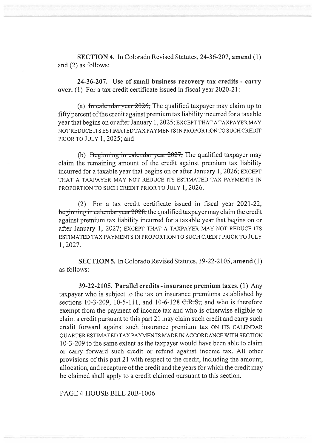SECTION 4. In Colorado Revised Statutes, 24-36-207, amend (1) and (2) as follows:

24-36-207. Use of small business recovery tax credits - carry over. (1) For a tax credit certificate issued in fiscal year 2020-21:

(a) In calendar year  $2026$ ; The qualified taxpayer may claim up to fifty percent ofthe credit against premium tax liability incurred for a taxable year that begins on or after January 1, 2025; EXCEPT THAT A TAXPAYER MAY NOT REDUCE ITS ESTIMATED TAX PAYMENTS IN PROPORTION TO SUCH CREDIT PRIOR TO JULY 1, 2025; and

(b) Beginning in calendar year  $2027$ , The qualified taxpayer may claim the remaining amount of the credit against premium tax liability incurred for a taxable year that begins on or after January 1, 2026; EXCEPT THAT A TAXPAYER MAY NOT REDUCE ITS ESTIMATED TAX PAYMENTS IN PROPORTION TO SUCH CREDIT PRIOR TO JULY 1, 2026.

(2) For a tax credit certificate issued in fiscal year 2021-22, beginning in calendary ear 2028, the qualified taxpayer may claim the credit against premium tax liability incurred for a taxable year that begins on or after January 1, 2027; EXCEPT THAT A TAXPAYER MAY NOT REDUCE ITS ESTIMATED TAX PAYMENTS IN PROPORTION TO SUCH CREDIT PRIOR TO JULY 1, 2027.

SECTION 5. In Colorado Revised Statutes, 39-22-2105, amend (1) as follows:

39-22-2105. Parallel credits - insurance premium taxes. (1) Any taxpayer who is subject to the tax on insurance premiums established by sections 10-3-209, 10-5-111, and 10-6-128  $C.R.S.,$  and who is therefore exempt from the payment of income tax and who is otherwise eligible to claim a credit pursuant to this part 21 may claim such credit and carry such credit forward against such insurance premium tax ON ITS CALENDAR QUARTER ESTIMATED TAX PAYMENTS MADE IN ACCORDANCE WITH SECTION 10-3-209 to the same extent as the taxpayer would have been able to claim or carry forward such credit or refund against income tax. All other provisions of this part 21 with respect to the credit, including the amount, allocation, and recapture of the credit and the years for which the credit may be claimed shall apply to a credit claimed pursuant to this section.

PAGE 4-HOUSE BILL 20B-1006